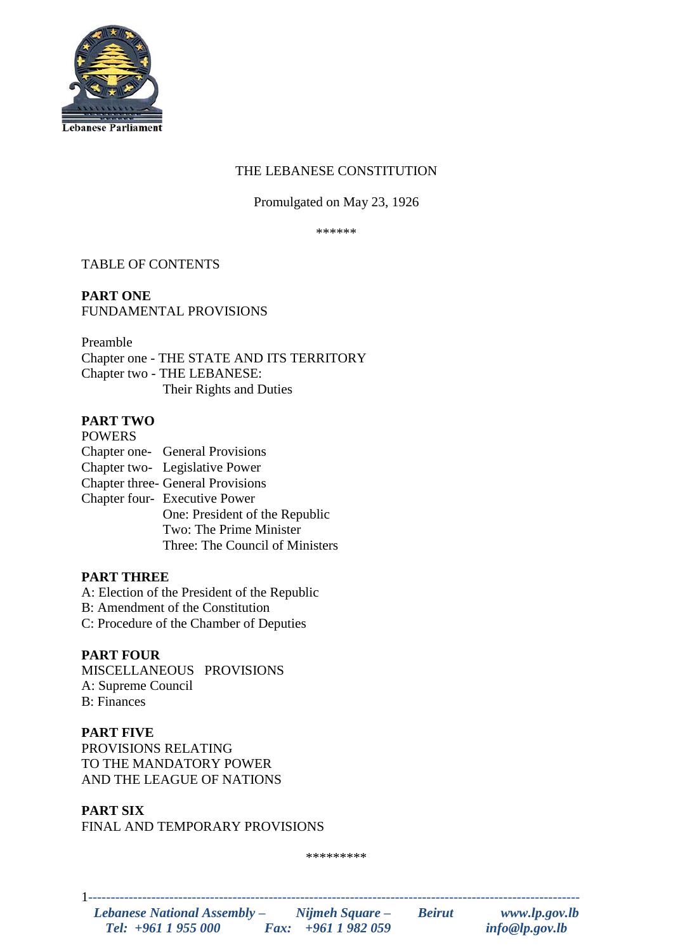

# THE LEBANESE CONSTITUTION

# Promulgated on May 23, 1926

\*\*\*\*\*\*

# TABLE OF CONTENTS

# **PART ONE** FUNDAMENTAL PROVISIONS

Preamble Chapter one - THE STATE AND ITS TERRITORY Chapter two - THE LEBANESE: Their Rights and Duties

# **PART TWO**

**POWERS** Chapter one- General Provisions Chapter two- Legislative Power Chapter three- General Provisions Chapter four- Executive Power One: President of the Republic Two: The Prime Minister Three: The Council of Ministers

# **PART THREE**

A: Election of the President of the Republic

- B: Amendment of the Constitution
- C: Procedure of the Chamber of Deputies

# **PART FOUR**

MISCELLANEOUS PROVISIONS A: Supreme Council B: Finances

# **PART FIVE**

PROVISIONS RELATING TO THE MANDATORY POWER AND THE LEAGUE OF NATIONS

# **PART SIX**

FINAL AND TEMPORARY PROVISIONS

\*\*\*\*\*\*\*\*\*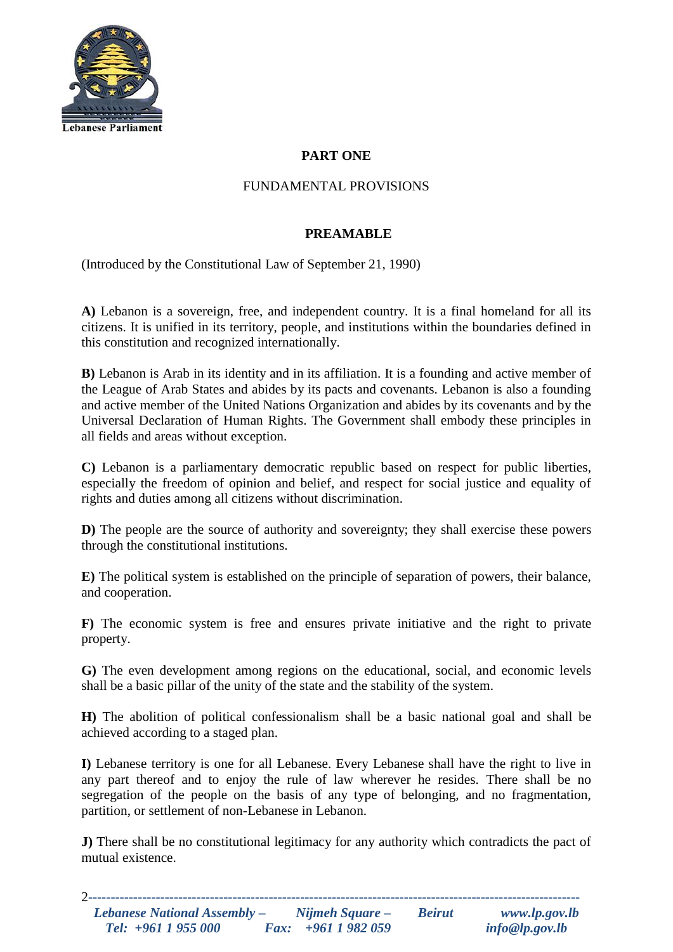

# **PART ONE**

# FUNDAMENTAL PROVISIONS

## **PREAMABLE**

(Introduced by the Constitutional Law of September 21, 1990)

**A)** Lebanon is a sovereign, free, and independent country. It is a final homeland for all its citizens. It is unified in its territory, people, and institutions within the boundaries defined in this constitution and recognized internationally.

**B)** Lebanon is Arab in its identity and in its affiliation. It is a founding and active member of the League of Arab States and abides by its pacts and covenants. Lebanon is also a founding and active member of the United Nations Organization and abides by its covenants and by the Universal Declaration of Human Rights. The Government shall embody these principles in all fields and areas without exception.

**C)** Lebanon is a parliamentary democratic republic based on respect for public liberties, especially the freedom of opinion and belief, and respect for social justice and equality of rights and duties among all citizens without discrimination.

**D)** The people are the source of authority and sovereignty; they shall exercise these powers through the constitutional institutions.

**E)** The political system is established on the principle of separation of powers, their balance, and cooperation.

**F)** The economic system is free and ensures private initiative and the right to private property.

**G)** The even development among regions on the educational, social, and economic levels shall be a basic pillar of the unity of the state and the stability of the system.

**H)** The abolition of political confessionalism shall be a basic national goal and shall be achieved according to a staged plan.

**I)** Lebanese territory is one for all Lebanese. Every Lebanese shall have the right to live in any part thereof and to enjoy the rule of law wherever he resides. There shall be no segregation of the people on the basis of any type of belonging, and no fragmentation, partition, or settlement of non-Lebanese in Lebanon.

**J)** There shall be no constitutional legitimacy for any authority which contradicts the pact of mutual existence.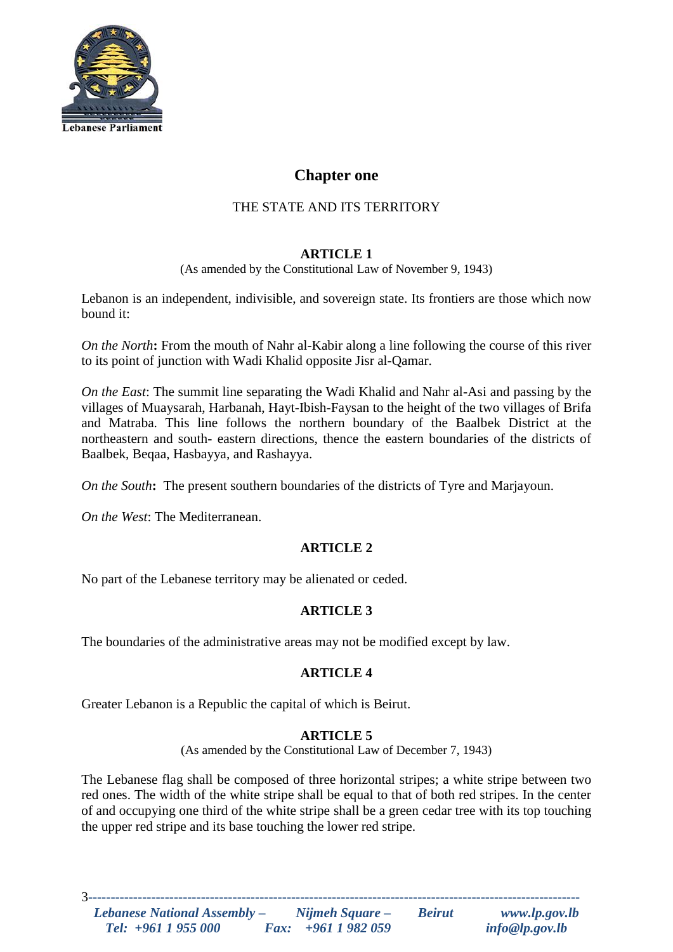

# **Chapter one**

# THE STATE AND ITS TERRITORY

# **ARTICLE 1**

(As amended by the Constitutional Law of November 9, 1943)

Lebanon is an independent, indivisible, and sovereign state. Its frontiers are those which now bound it:

*On the North***:** From the mouth of Nahr al-Kabir along a line following the course of this river to its point of junction with Wadi Khalid opposite Jisr al-Qamar.

*On the East*: The summit line separating the Wadi Khalid and Nahr al-Asi and passing by the villages of Muaysarah, Harbanah, Hayt-Ibish-Faysan to the height of the two villages of Brifa and Matraba. This line follows the northern boundary of the Baalbek District at the northeastern and south- eastern directions, thence the eastern boundaries of the districts of Baalbek, Beqaa, Hasbayya, and Rashayya.

*On the South***:** The present southern boundaries of the districts of Tyre and Marjayoun.

*On the West*: The Mediterranean.

# **ARTICLE 2**

No part of the Lebanese territory may be alienated or ceded.

# **ARTICLE 3**

The boundaries of the administrative areas may not be modified except by law.

# **ARTICLE 4**

Greater Lebanon is a Republic the capital of which is Beirut.

# **ARTICLE 5**

(As amended by the Constitutional Law of December 7, 1943)

The Lebanese flag shall be composed of three horizontal stripes; a white stripe between two red ones. The width of the white stripe shall be equal to that of both red stripes. In the center of and occupying one third of the white stripe shall be a green cedar tree with its top touching the upper red stripe and its base touching the lower red stripe.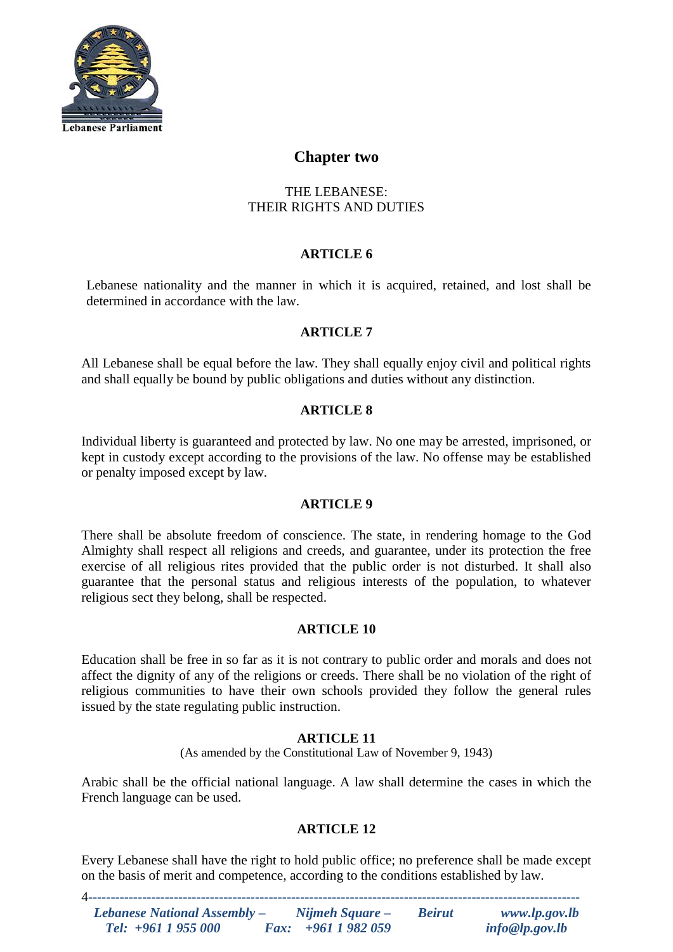

# **Chapter two**

# THE LEBANESE: THEIR RIGHTS AND DUTIES

# **ARTICLE 6**

Lebanese nationality and the manner in which it is acquired, retained, and lost shall be determined in accordance with the law.

# **ARTICLE 7**

All Lebanese shall be equal before the law. They shall equally enjoy civil and political rights and shall equally be bound by public obligations and duties without any distinction.

# **ARTICLE 8**

Individual liberty is guaranteed and protected by law. No one may be arrested, imprisoned, or kept in custody except according to the provisions of the law. No offense may be established or penalty imposed except by law.

## **ARTICLE 9**

There shall be absolute freedom of conscience. The state, in rendering homage to the God Almighty shall respect all religions and creeds, and guarantee, under its protection the free exercise of all religious rites provided that the public order is not disturbed. It shall also guarantee that the personal status and religious interests of the population, to whatever religious sect they belong, shall be respected.

## **ARTICLE 10**

Education shall be free in so far as it is not contrary to public order and morals and does not affect the dignity of any of the religions or creeds. There shall be no violation of the right of religious communities to have their own schools provided they follow the general rules issued by the state regulating public instruction.

## **ARTICLE 11**

(As amended by the Constitutional Law of November 9, 1943)

Arabic shall be the official national language. A law shall determine the cases in which the French language can be used.

# **ARTICLE 12**

Every Lebanese shall have the right to hold public office; no preference shall be made except on the basis of merit and competence, according to the conditions established by law.

| Lebanese National Assembly - | Nijmeh Square –           | <b>Beirut</b> | www.lp.gov.lb  |
|------------------------------|---------------------------|---------------|----------------|
| Tel: $+961$ 1 955 000        | <i>Fax:</i> $+9611982059$ |               | info@lp.gov.lb |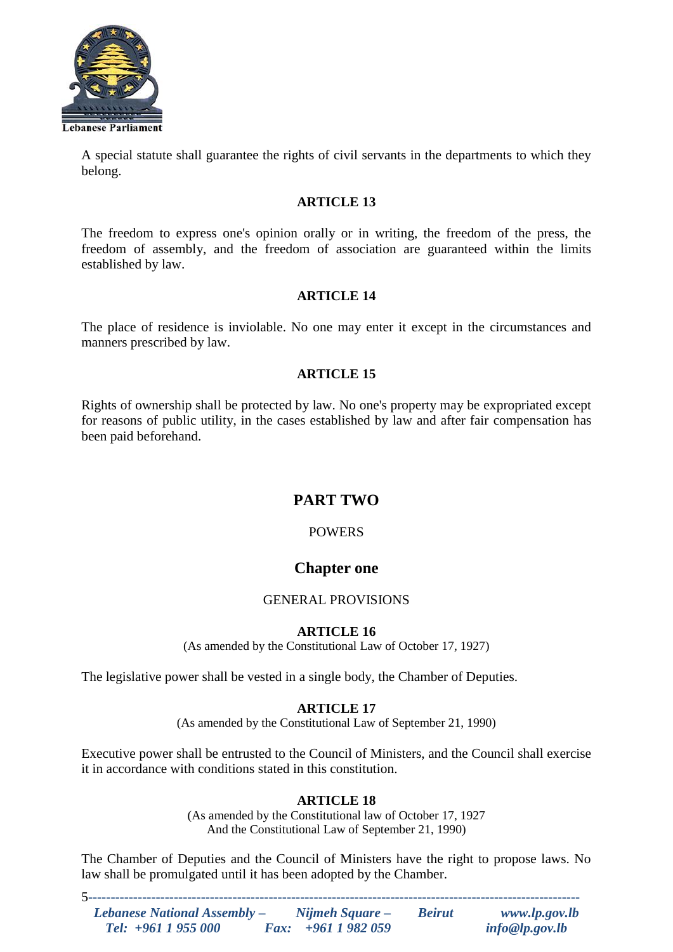

A special statute shall guarantee the rights of civil servants in the departments to which they belong.

## **ARTICLE 13**

The freedom to express one's opinion orally or in writing, the freedom of the press, the freedom of assembly, and the freedom of association are guaranteed within the limits established by law.

## **ARTICLE 14**

The place of residence is inviolable. No one may enter it except in the circumstances and manners prescribed by law.

## **ARTICLE 15**

Rights of ownership shall be protected by law. No one's property may be expropriated except for reasons of public utility, in the cases established by law and after fair compensation has been paid beforehand.

# **PART TWO**

# **POWERS**

# **Chapter one**

## GENERAL PROVISIONS

# **ARTICLE 16**

(As amended by the Constitutional Law of October 17, 1927)

The legislative power shall be vested in a single body, the Chamber of Deputies.

## **ARTICLE 17**

(As amended by the Constitutional Law of September 21, 1990)

Executive power shall be entrusted to the Council of Ministers, and the Council shall exercise it in accordance with conditions stated in this constitution.

# **ARTICLE 18**

(As amended by the Constitutional law of October 17, 1927 And the Constitutional Law of September 21, 1990)

The Chamber of Deputies and the Council of Ministers have the right to propose laws. No law shall be promulgated until it has been adopted by the Chamber.

| Lebanese National Assembly - | Nijmeh Square –           | <b>Beirut</b> | www.lp.gov.lb  |
|------------------------------|---------------------------|---------------|----------------|
| Tel: $+961$ 1 955 000        | <i>Fax:</i> $+9611982059$ |               | info@lp.gov.lb |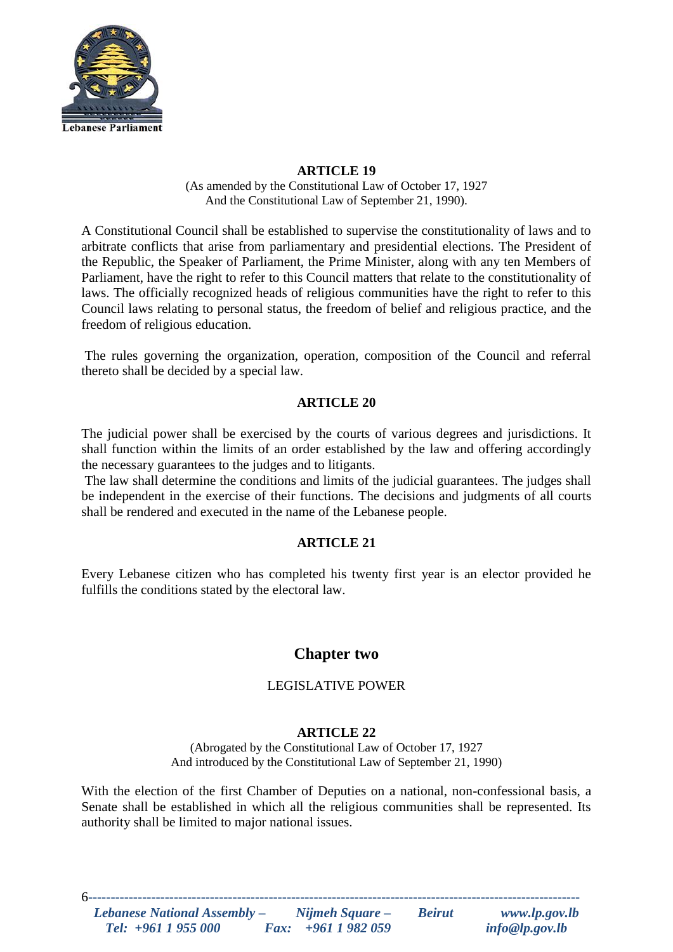

(As amended by the Constitutional Law of October 17, 1927 And the Constitutional Law of September 21, 1990).

A Constitutional Council shall be established to supervise the constitutionality of laws and to arbitrate conflicts that arise from parliamentary and presidential elections. The President of the Republic, the Speaker of Parliament, the Prime Minister, along with any ten Members of Parliament, have the right to refer to this Council matters that relate to the constitutionality of laws. The officially recognized heads of religious communities have the right to refer to this Council laws relating to personal status, the freedom of belief and religious practice, and the freedom of religious education.

The rules governing the organization, operation, composition of the Council and referral thereto shall be decided by a special law.

## **ARTICLE 20**

The judicial power shall be exercised by the courts of various degrees and jurisdictions. It shall function within the limits of an order established by the law and offering accordingly the necessary guarantees to the judges and to litigants.

The law shall determine the conditions and limits of the judicial guarantees. The judges shall be independent in the exercise of their functions. The decisions and judgments of all courts shall be rendered and executed in the name of the Lebanese people.

# **ARTICLE 21**

Every Lebanese citizen who has completed his twenty first year is an elector provided he fulfills the conditions stated by the electoral law.

# **Chapter two**

# LEGISLATIVE POWER

## **ARTICLE 22**

(Abrogated by the Constitutional Law of October 17, 1927 And introduced by the Constitutional Law of September 21, 1990)

With the election of the first Chamber of Deputies on a national, non-confessional basis, a Senate shall be established in which all the religious communities shall be represented. Its authority shall be limited to major national issues.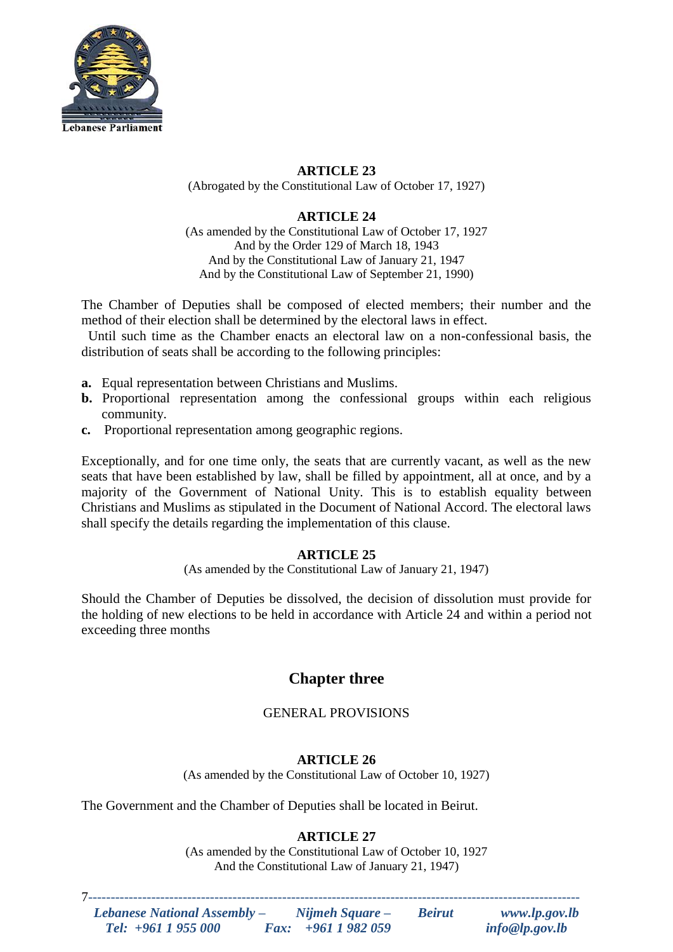

(Abrogated by the Constitutional Law of October 17, 1927)

# **ARTICLE 24**

(As amended by the Constitutional Law of October 17, 1927 And by the Order 129 of March 18, 1943 And by the Constitutional Law of January 21, 1947 And by the Constitutional Law of September 21, 1990)

The Chamber of Deputies shall be composed of elected members; their number and the method of their election shall be determined by the electoral laws in effect.

 Until such time as the Chamber enacts an electoral law on a non-confessional basis, the distribution of seats shall be according to the following principles:

- **a.** Equal representation between Christians and Muslims.
- **b.** Proportional representation among the confessional groups within each religious community.
- **c.** Proportional representation among geographic regions.

Exceptionally, and for one time only, the seats that are currently vacant, as well as the new seats that have been established by law, shall be filled by appointment, all at once, and by a majority of the Government of National Unity. This is to establish equality between Christians and Muslims as stipulated in the Document of National Accord. The electoral laws shall specify the details regarding the implementation of this clause.

# **ARTICLE 25**

(As amended by the Constitutional Law of January 21, 1947)

Should the Chamber of Deputies be dissolved, the decision of dissolution must provide for the holding of new elections to be held in accordance with Article 24 and within a period not exceeding three months

# **Chapter three**

# GENERAL PROVISIONS

# **ARTICLE 26**

(As amended by the Constitutional Law of October 10, 1927)

The Government and the Chamber of Deputies shall be located in Beirut.

# **ARTICLE 27**

(As amended by the Constitutional Law of October 10, 1927 And the Constitutional Law of January 21, 1947)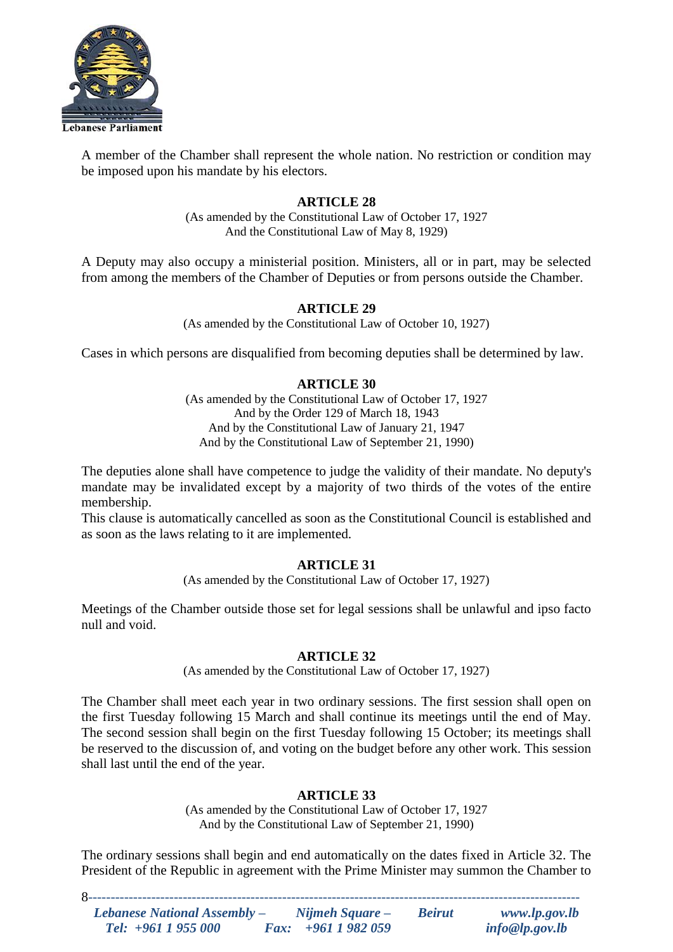

A member of the Chamber shall represent the whole nation. No restriction or condition may be imposed upon his mandate by his electors.

## **ARTICLE 28**

(As amended by the Constitutional Law of October 17, 1927 And the Constitutional Law of May 8, 1929)

A Deputy may also occupy a ministerial position. Ministers, all or in part, may be selected from among the members of the Chamber of Deputies or from persons outside the Chamber.

## **ARTICLE 29**

(As amended by the Constitutional Law of October 10, 1927)

Cases in which persons are disqualified from becoming deputies shall be determined by law.

## **ARTICLE 30**

(As amended by the Constitutional Law of October 17, 1927 And by the Order 129 of March 18, 1943 And by the Constitutional Law of January 21, 1947 And by the Constitutional Law of September 21, 1990)

The deputies alone shall have competence to judge the validity of their mandate. No deputy's mandate may be invalidated except by a majority of two thirds of the votes of the entire membership.

This clause is automatically cancelled as soon as the Constitutional Council is established and as soon as the laws relating to it are implemented.

## **ARTICLE 31**

(As amended by the Constitutional Law of October 17, 1927)

Meetings of the Chamber outside those set for legal sessions shall be unlawful and ipso facto null and void.

## **ARTICLE 32**

(As amended by the Constitutional Law of October 17, 1927)

The Chamber shall meet each year in two ordinary sessions. The first session shall open on the first Tuesday following 15 March and shall continue its meetings until the end of May. The second session shall begin on the first Tuesday following 15 October; its meetings shall be reserved to the discussion of, and voting on the budget before any other work. This session shall last until the end of the year.

## **ARTICLE 33**

(As amended by the Constitutional Law of October 17, 1927 And by the Constitutional Law of September 21, 1990)

The ordinary sessions shall begin and end automatically on the dates fixed in Article 32. The President of the Republic in agreement with the Prime Minister may summon the Chamber to

| <b>Lebanese National Assembly –</b> | Nijmeh Square –           | <b>Beirut</b> | www.lp.gov.lb  |
|-------------------------------------|---------------------------|---------------|----------------|
| Tel: $+961$ 1 955 000               | <i>Fax:</i> $+9611982059$ |               | info@lp.gov.lb |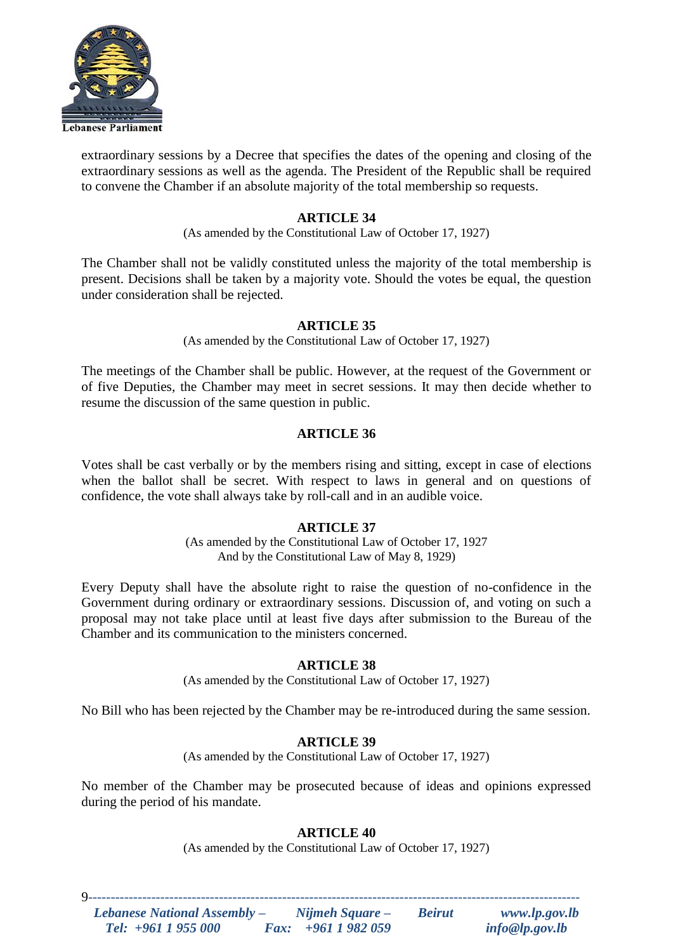

extraordinary sessions by a Decree that specifies the dates of the opening and closing of the extraordinary sessions as well as the agenda. The President of the Republic shall be required to convene the Chamber if an absolute majority of the total membership so requests.

## **ARTICLE 34**

(As amended by the Constitutional Law of October 17, 1927)

The Chamber shall not be validly constituted unless the majority of the total membership is present. Decisions shall be taken by a majority vote. Should the votes be equal, the question under consideration shall be rejected.

## **ARTICLE 35**

(As amended by the Constitutional Law of October 17, 1927)

The meetings of the Chamber shall be public. However, at the request of the Government or of five Deputies, the Chamber may meet in secret sessions. It may then decide whether to resume the discussion of the same question in public.

## **ARTICLE 36**

Votes shall be cast verbally or by the members rising and sitting, except in case of elections when the ballot shall be secret. With respect to laws in general and on questions of confidence, the vote shall always take by roll-call and in an audible voice.

# **ARTICLE 37**

(As amended by the Constitutional Law of October 17, 1927 And by the Constitutional Law of May 8, 1929)

Every Deputy shall have the absolute right to raise the question of no-confidence in the Government during ordinary or extraordinary sessions. Discussion of, and voting on such a proposal may not take place until at least five days after submission to the Bureau of the Chamber and its communication to the ministers concerned.

## **ARTICLE 38**

(As amended by the Constitutional Law of October 17, 1927)

No Bill who has been rejected by the Chamber may be re-introduced during the same session.

## **ARTICLE 39**

(As amended by the Constitutional Law of October 17, 1927)

No member of the Chamber may be prosecuted because of ideas and opinions expressed during the period of his mandate.

# **ARTICLE 40**

(As amended by the Constitutional Law of October 17, 1927)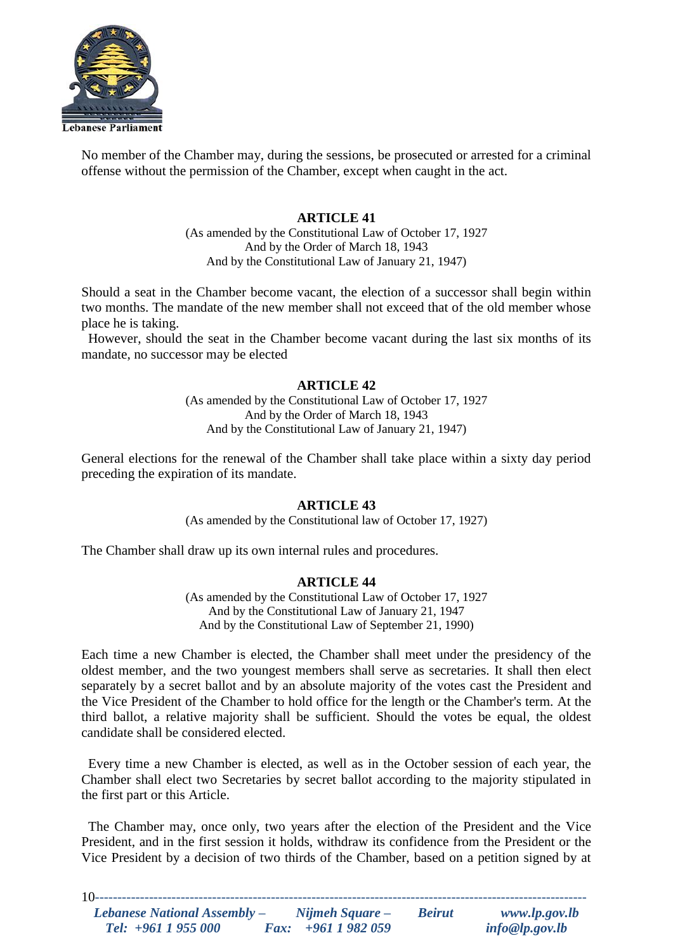

No member of the Chamber may, during the sessions, be prosecuted or arrested for a criminal offense without the permission of the Chamber, except when caught in the act.

## **ARTICLE 41**

(As amended by the Constitutional Law of October 17, 1927 And by the Order of March 18, 1943 And by the Constitutional Law of January 21, 1947)

Should a seat in the Chamber become vacant, the election of a successor shall begin within two months. The mandate of the new member shall not exceed that of the old member whose place he is taking.

 However, should the seat in the Chamber become vacant during the last six months of its mandate, no successor may be elected

## **ARTICLE 42**

(As amended by the Constitutional Law of October 17, 1927 And by the Order of March 18, 1943 And by the Constitutional Law of January 21, 1947)

General elections for the renewal of the Chamber shall take place within a sixty day period preceding the expiration of its mandate.

#### **ARTICLE 43**

(As amended by the Constitutional law of October 17, 1927)

The Chamber shall draw up its own internal rules and procedures.

## **ARTICLE 44**

(As amended by the Constitutional Law of October 17, 1927 And by the Constitutional Law of January 21, 1947 And by the Constitutional Law of September 21, 1990)

Each time a new Chamber is elected, the Chamber shall meet under the presidency of the oldest member, and the two youngest members shall serve as secretaries. It shall then elect separately by a secret ballot and by an absolute majority of the votes cast the President and the Vice President of the Chamber to hold office for the length or the Chamber's term. At the third ballot, a relative majority shall be sufficient. Should the votes be equal, the oldest candidate shall be considered elected.

 Every time a new Chamber is elected, as well as in the October session of each year, the Chamber shall elect two Secretaries by secret ballot according to the majority stipulated in the first part or this Article.

 The Chamber may, once only, two years after the election of the President and the Vice President, and in the first session it holds, withdraw its confidence from the President or the Vice President by a decision of two thirds of the Chamber, based on a petition signed by at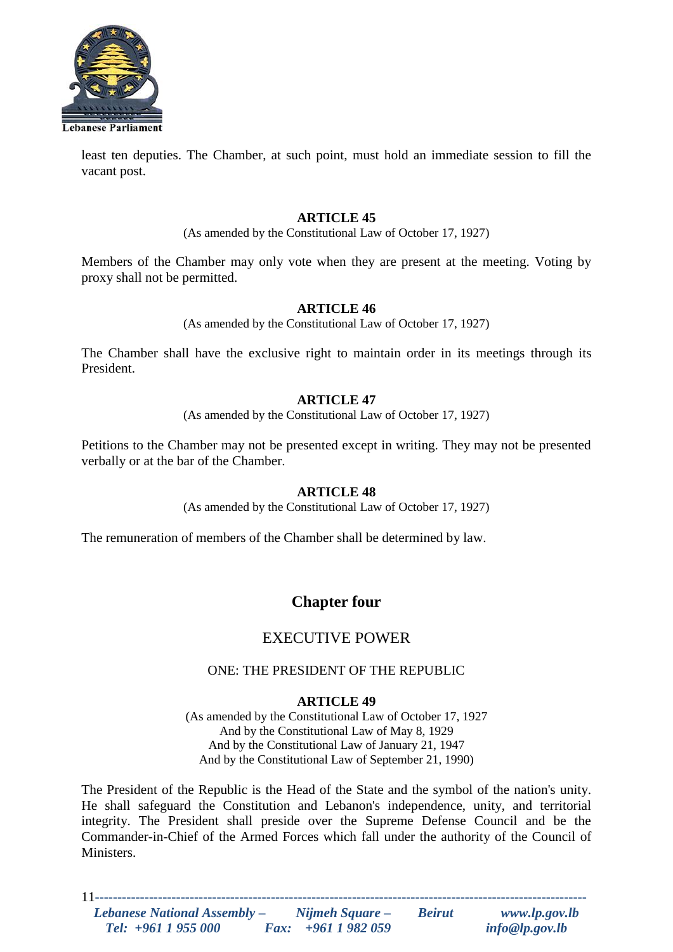

least ten deputies. The Chamber, at such point, must hold an immediate session to fill the vacant post.

## **ARTICLE 45**

(As amended by the Constitutional Law of October 17, 1927)

Members of the Chamber may only vote when they are present at the meeting. Voting by proxy shall not be permitted.

## **ARTICLE 46**

(As amended by the Constitutional Law of October 17, 1927)

The Chamber shall have the exclusive right to maintain order in its meetings through its President.

## **ARTICLE 47**

(As amended by the Constitutional Law of October 17, 1927)

Petitions to the Chamber may not be presented except in writing. They may not be presented verbally or at the bar of the Chamber.

## **ARTICLE 48**

(As amended by the Constitutional Law of October 17, 1927)

The remuneration of members of the Chamber shall be determined by law.

# **Chapter four**

# EXECUTIVE POWER

## ONE: THE PRESIDENT OF THE REPUBLIC

# **ARTICLE 49**

(As amended by the Constitutional Law of October 17, 1927 And by the Constitutional Law of May 8, 1929 And by the Constitutional Law of January 21, 1947 And by the Constitutional Law of September 21, 1990)

The President of the Republic is the Head of the State and the symbol of the nation's unity. He shall safeguard the Constitution and Lebanon's independence, unity, and territorial integrity. The President shall preside over the Supreme Defense Council and be the Commander-in-Chief of the Armed Forces which fall under the authority of the Council of Ministers.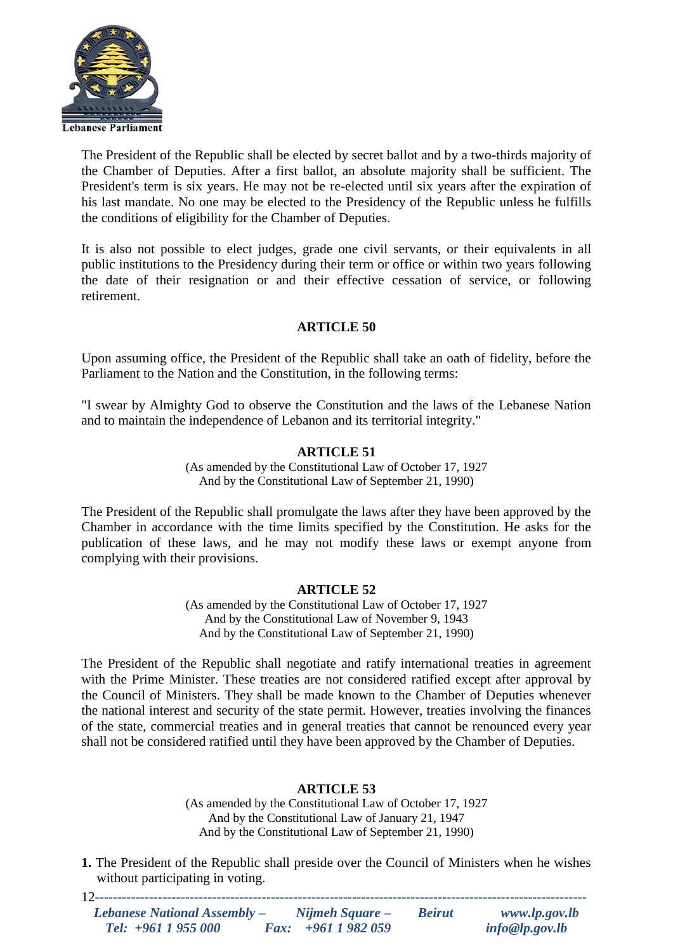

The President of the Republic shall be elected by secret ballot and by a two-thirds majority of the Chamber of Deputies. After a first ballot, an absolute majority shall be sufficient. The President's term is six years. He may not be re-elected until six years after the expiration of his last mandate. No one may be elected to the Presidency of the Republic unless he fulfills the conditions of eligibility for the Chamber of Deputies.

It is also not possible to elect judges, grade one civil servants, or their equivalents in all public institutions to the Presidency during their term or office or within two years following the date of their resignation or and their effective cessation of service, or following retirement.

# **ARTICLE 50**

Upon assuming office, the President of the Republic shall take an oath of fidelity, before the Parliament to the Nation and the Constitution, in the following terms:

"I swear by Almighty God to observe the Constitution and the laws of the Lebanese Nation and to maintain the independence of Lebanon and its territorial integrity."

## **ARTICLE 51**

(As amended by the Constitutional Law of October 17, 1927 And by the Constitutional Law of September 21, 1990)

The President of the Republic shall promulgate the laws after they have been approved by the Chamber in accordance with the time limits specified by the Constitution. He asks for the publication of these laws, and he may not modify these laws or exempt anyone from complying with their provisions.

## **ARTICLE 52**

(As amended by the Constitutional Law of October 17, 1927 And by the Constitutional Law of November 9, 1943 And by the Constitutional Law of September 21, 1990)

The President of the Republic shall negotiate and ratify international treaties in agreement with the Prime Minister. These treaties are not considered ratified except after approval by the Council of Ministers. They shall be made known to the Chamber of Deputies whenever the national interest and security of the state permit. However, treaties involving the finances of the state, commercial treaties and in general treaties that cannot be renounced every year shall not be considered ratified until they have been approved by the Chamber of Deputies.

## **ARTICLE 53**

(As amended by the Constitutional Law of October 17, 1927 And by the Constitutional Law of January 21, 1947 And by the Constitutional Law of September 21, 1990)

**1.** The President of the Republic shall preside over the Council of Ministers when he wishes without participating in voting.

| <b>Lebanese National Assembly –</b> | Nijmeh Square –           | <b>Beirut</b> | www.lp.gov.lb  |
|-------------------------------------|---------------------------|---------------|----------------|
|                                     |                           |               |                |
| Tel: $+961$ 1 955 000               | <i>Fax:</i> $+9611982059$ |               | info@lp.gov.lb |
|                                     |                           |               |                |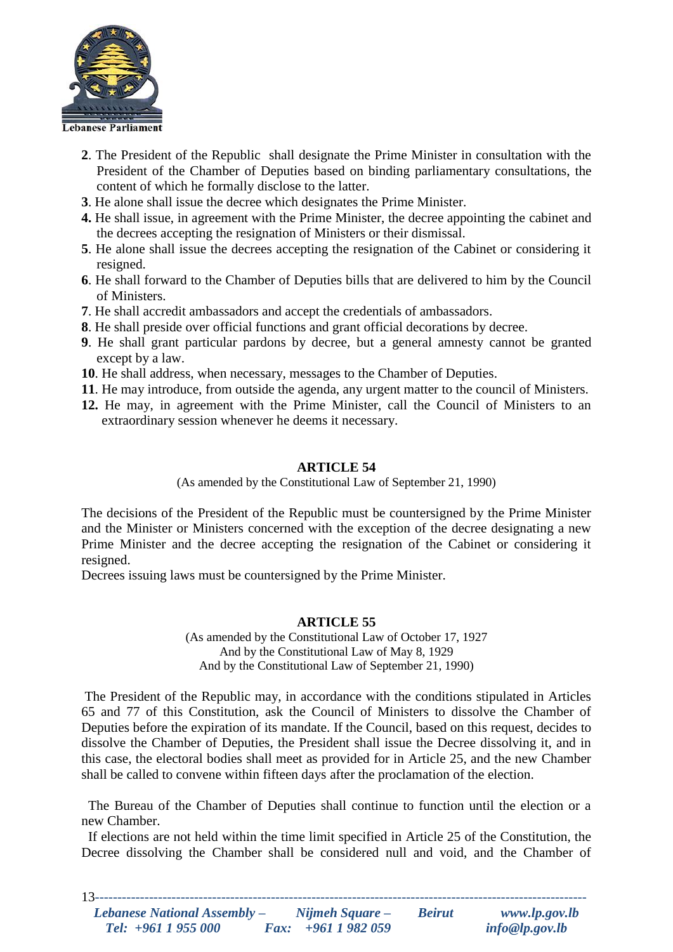

- **2**. The President of the Republic shall designate the Prime Minister in consultation with the President of the Chamber of Deputies based on binding parliamentary consultations, the content of which he formally disclose to the latter.
- **3**. He alone shall issue the decree which designates the Prime Minister.
- **4.** He shall issue, in agreement with the Prime Minister, the decree appointing the cabinet and the decrees accepting the resignation of Ministers or their dismissal.
- **5**. He alone shall issue the decrees accepting the resignation of the Cabinet or considering it resigned.
- **6**. He shall forward to the Chamber of Deputies bills that are delivered to him by the Council of Ministers.
- **7**. He shall accredit ambassadors and accept the credentials of ambassadors.
- **8**. He shall preside over official functions and grant official decorations by decree.
- **9**. He shall grant particular pardons by decree, but a general amnesty cannot be granted except by a law.
- **10**. He shall address, when necessary, messages to the Chamber of Deputies.
- **11**. He may introduce, from outside the agenda, any urgent matter to the council of Ministers.
- **12.** He may, in agreement with the Prime Minister, call the Council of Ministers to an extraordinary session whenever he deems it necessary.

(As amended by the Constitutional Law of September 21, 1990)

The decisions of the President of the Republic must be countersigned by the Prime Minister and the Minister or Ministers concerned with the exception of the decree designating a new Prime Minister and the decree accepting the resignation of the Cabinet or considering it resigned.

Decrees issuing laws must be countersigned by the Prime Minister.

## **ARTICLE 55**

(As amended by the Constitutional Law of October 17, 1927 And by the Constitutional Law of May 8, 1929 And by the Constitutional Law of September 21, 1990)

The President of the Republic may, in accordance with the conditions stipulated in Articles 65 and 77 of this Constitution, ask the Council of Ministers to dissolve the Chamber of Deputies before the expiration of its mandate. If the Council, based on this request, decides to dissolve the Chamber of Deputies, the President shall issue the Decree dissolving it, and in this case, the electoral bodies shall meet as provided for in Article 25, and the new Chamber shall be called to convene within fifteen days after the proclamation of the election.

 The Bureau of the Chamber of Deputies shall continue to function until the election or a new Chamber.

 If elections are not held within the time limit specified in Article 25 of the Constitution, the Decree dissolving the Chamber shall be considered null and void, and the Chamber of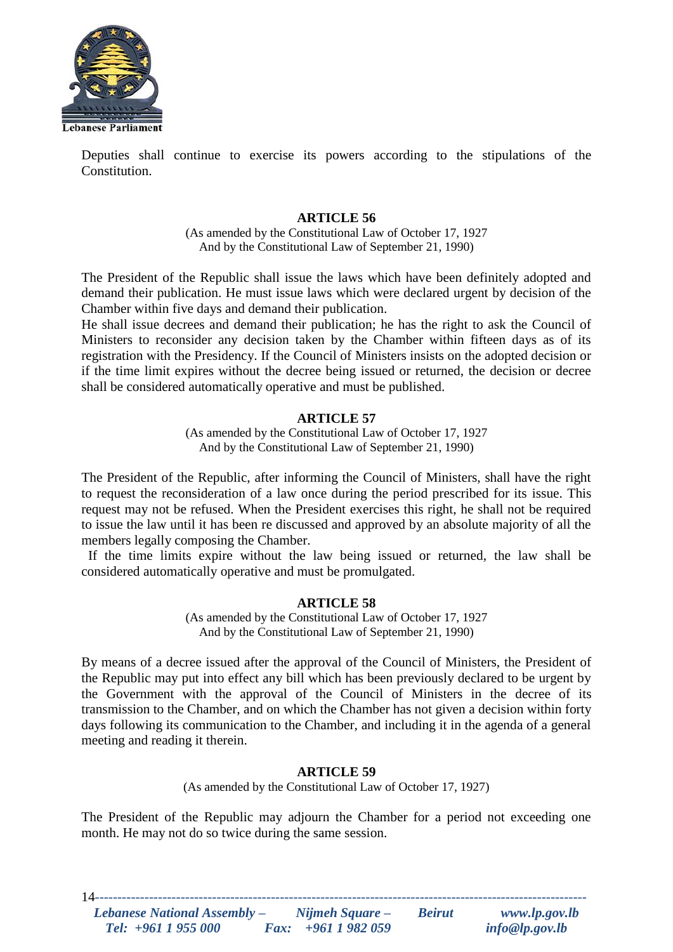

Deputies shall continue to exercise its powers according to the stipulations of the Constitution.

## **ARTICLE 56**

(As amended by the Constitutional Law of October 17, 1927 And by the Constitutional Law of September 21, 1990)

The President of the Republic shall issue the laws which have been definitely adopted and demand their publication. He must issue laws which were declared urgent by decision of the Chamber within five days and demand their publication.

He shall issue decrees and demand their publication; he has the right to ask the Council of Ministers to reconsider any decision taken by the Chamber within fifteen days as of its registration with the Presidency. If the Council of Ministers insists on the adopted decision or if the time limit expires without the decree being issued or returned, the decision or decree shall be considered automatically operative and must be published.

## **ARTICLE 57**

(As amended by the Constitutional Law of October 17, 1927 And by the Constitutional Law of September 21, 1990)

The President of the Republic, after informing the Council of Ministers, shall have the right to request the reconsideration of a law once during the period prescribed for its issue. This request may not be refused. When the President exercises this right, he shall not be required to issue the law until it has been re discussed and approved by an absolute majority of all the members legally composing the Chamber.

 If the time limits expire without the law being issued or returned, the law shall be considered automatically operative and must be promulgated.

## **ARTICLE 58**

(As amended by the Constitutional Law of October 17, 1927 And by the Constitutional Law of September 21, 1990)

By means of a decree issued after the approval of the Council of Ministers, the President of the Republic may put into effect any bill which has been previously declared to be urgent by the Government with the approval of the Council of Ministers in the decree of its transmission to the Chamber, and on which the Chamber has not given a decision within forty days following its communication to the Chamber, and including it in the agenda of a general meeting and reading it therein.

## **ARTICLE 59**

(As amended by the Constitutional Law of October 17, 1927)

The President of the Republic may adjourn the Chamber for a period not exceeding one month. He may not do so twice during the same session.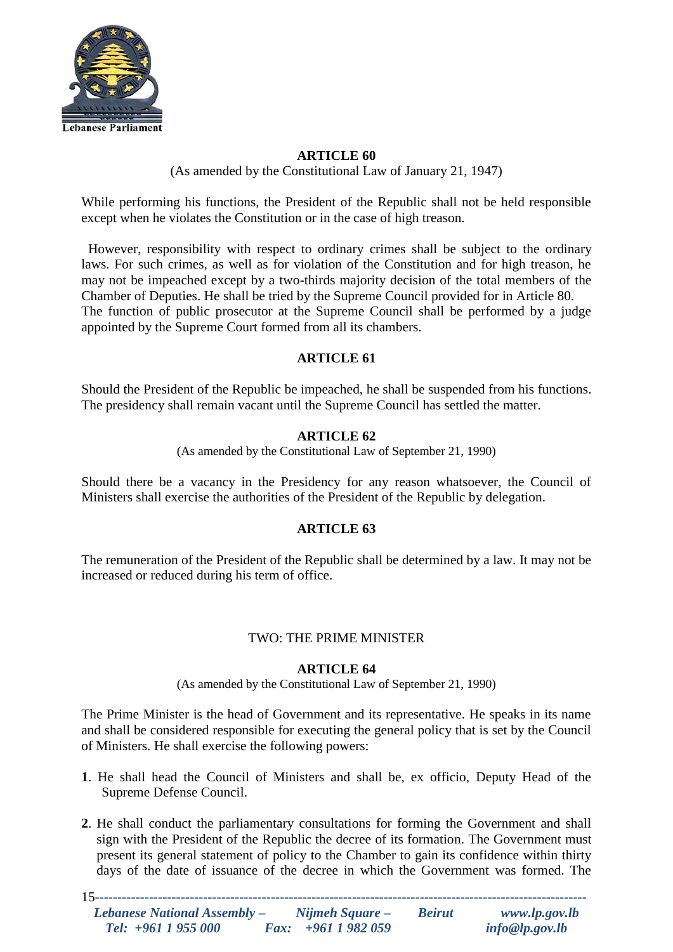

(As amended by the Constitutional Law of January 21, 1947)

While performing his functions, the President of the Republic shall not be held responsible except when he violates the Constitution or in the case of high treason.

 However, responsibility with respect to ordinary crimes shall be subject to the ordinary laws. For such crimes, as well as for violation of the Constitution and for high treason, he may not be impeached except by a two-thirds majority decision of the total members of the Chamber of Deputies. He shall be tried by the Supreme Council provided for in Article 80. The function of public prosecutor at the Supreme Council shall be performed by a judge appointed by the Supreme Court formed from all its chambers.

# **ARTICLE 61**

Should the President of the Republic be impeached, he shall be suspended from his functions. The presidency shall remain vacant until the Supreme Council has settled the matter.

# **ARTICLE 62**

(As amended by the Constitutional Law of September 21, 1990)

Should there be a vacancy in the Presidency for any reason whatsoever, the Council of Ministers shall exercise the authorities of the President of the Republic by delegation.

# **ARTICLE 63**

The remuneration of the President of the Republic shall be determined by a law. It may not be increased or reduced during his term of office.

# TWO: THE PRIME MINISTER

## **ARTICLE 64**

(As amended by the Constitutional Law of September 21, 1990)

The Prime Minister is the head of Government and its representative. He speaks in its name and shall be considered responsible for executing the general policy that is set by the Council of Ministers. He shall exercise the following powers:

- **1**. He shall head the Council of Ministers and shall be, ex officio, Deputy Head of the Supreme Defense Council.
- **2**. He shall conduct the parliamentary consultations for forming the Government and shall sign with the President of the Republic the decree of its formation. The Government must present its general statement of policy to the Chamber to gain its confidence within thirty days of the date of issuance of the decree in which the Government was formed. The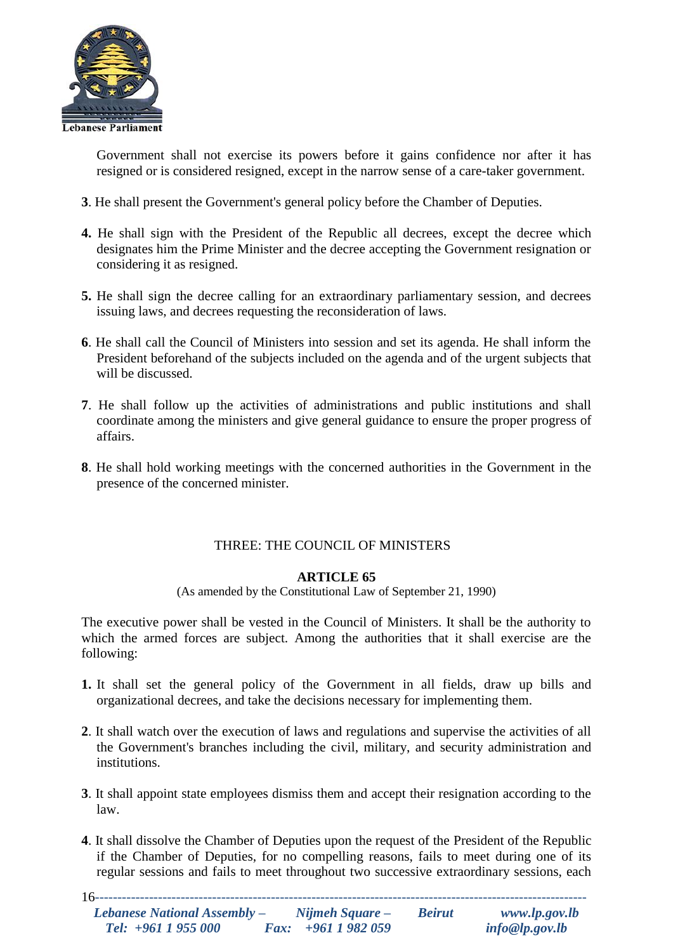

Government shall not exercise its powers before it gains confidence nor after it has resigned or is considered resigned, except in the narrow sense of a care-taker government.

- **3**. He shall present the Government's general policy before the Chamber of Deputies.
- **4.** He shall sign with the President of the Republic all decrees, except the decree which designates him the Prime Minister and the decree accepting the Government resignation or considering it as resigned.
- **5.** He shall sign the decree calling for an extraordinary parliamentary session, and decrees issuing laws, and decrees requesting the reconsideration of laws.
- **6**. He shall call the Council of Ministers into session and set its agenda. He shall inform the President beforehand of the subjects included on the agenda and of the urgent subjects that will be discussed.
- **7**. He shall follow up the activities of administrations and public institutions and shall coordinate among the ministers and give general guidance to ensure the proper progress of affairs.
- **8**. He shall hold working meetings with the concerned authorities in the Government in the presence of the concerned minister.

# THREE: THE COUNCIL OF MINISTERS

# **ARTICLE 65**

(As amended by the Constitutional Law of September 21, 1990)

The executive power shall be vested in the Council of Ministers. It shall be the authority to which the armed forces are subject. Among the authorities that it shall exercise are the following:

- **1.** It shall set the general policy of the Government in all fields, draw up bills and organizational decrees, and take the decisions necessary for implementing them.
- **2**. It shall watch over the execution of laws and regulations and supervise the activities of all the Government's branches including the civil, military, and security administration and institutions.
- **3**. It shall appoint state employees dismiss them and accept their resignation according to the law.
- **4**. It shall dissolve the Chamber of Deputies upon the request of the President of the Republic if the Chamber of Deputies, for no compelling reasons, fails to meet during one of its regular sessions and fails to meet throughout two successive extraordinary sessions, each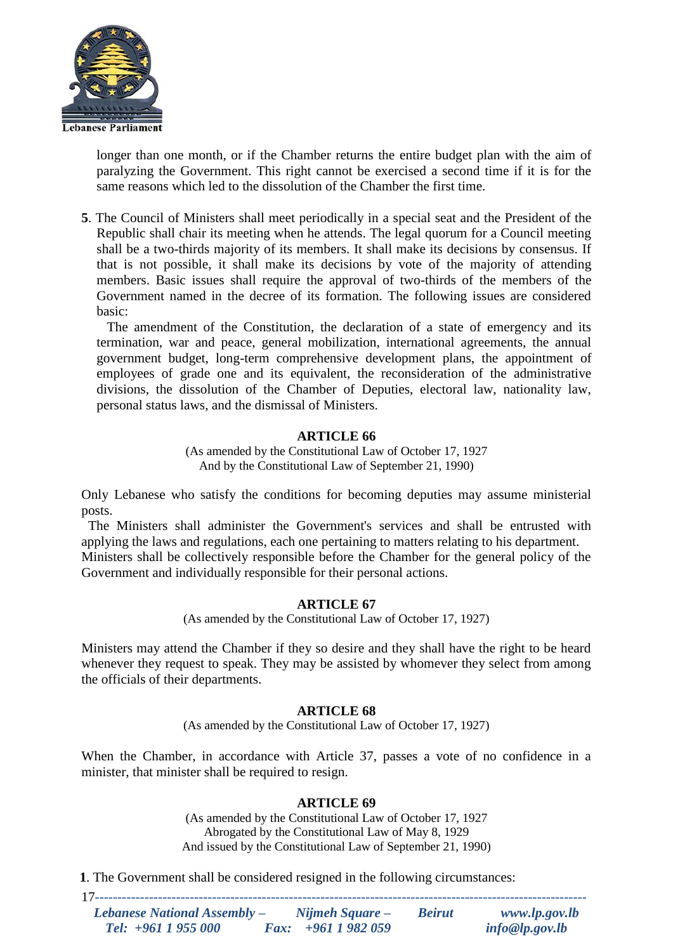

longer than one month, or if the Chamber returns the entire budget plan with the aim of paralyzing the Government. This right cannot be exercised a second time if it is for the same reasons which led to the dissolution of the Chamber the first time.

**5**. The Council of Ministers shall meet periodically in a special seat and the President of the Republic shall chair its meeting when he attends. The legal quorum for a Council meeting shall be a two-thirds majority of its members. It shall make its decisions by consensus. If that is not possible, it shall make its decisions by vote of the majority of attending members. Basic issues shall require the approval of two-thirds of the members of the Government named in the decree of its formation. The following issues are considered basic:

 The amendment of the Constitution, the declaration of a state of emergency and its termination, war and peace, general mobilization, international agreements, the annual government budget, long-term comprehensive development plans, the appointment of employees of grade one and its equivalent, the reconsideration of the administrative divisions, the dissolution of the Chamber of Deputies, electoral law, nationality law, personal status laws, and the dismissal of Ministers.

## **ARTICLE 66**

(As amended by the Constitutional Law of October 17, 1927 And by the Constitutional Law of September 21, 1990)

Only Lebanese who satisfy the conditions for becoming deputies may assume ministerial posts.

 The Ministers shall administer the Government's services and shall be entrusted with applying the laws and regulations, each one pertaining to matters relating to his department. Ministers shall be collectively responsible before the Chamber for the general policy of the Government and individually responsible for their personal actions.

# **ARTICLE 67**

(As amended by the Constitutional Law of October 17, 1927)

Ministers may attend the Chamber if they so desire and they shall have the right to be heard whenever they request to speak. They may be assisted by whomever they select from among the officials of their departments.

## **ARTICLE 68**

(As amended by the Constitutional Law of October 17, 1927)

When the Chamber, in accordance with Article 37, passes a vote of no confidence in a minister, that minister shall be required to resign.

# **ARTICLE 69**

(As amended by the Constitutional Law of October 17, 1927 Abrogated by the Constitutional Law of May 8, 1929 And issued by the Constitutional Law of September 21, 1990)

**1**. The Government shall be considered resigned in the following circumstances: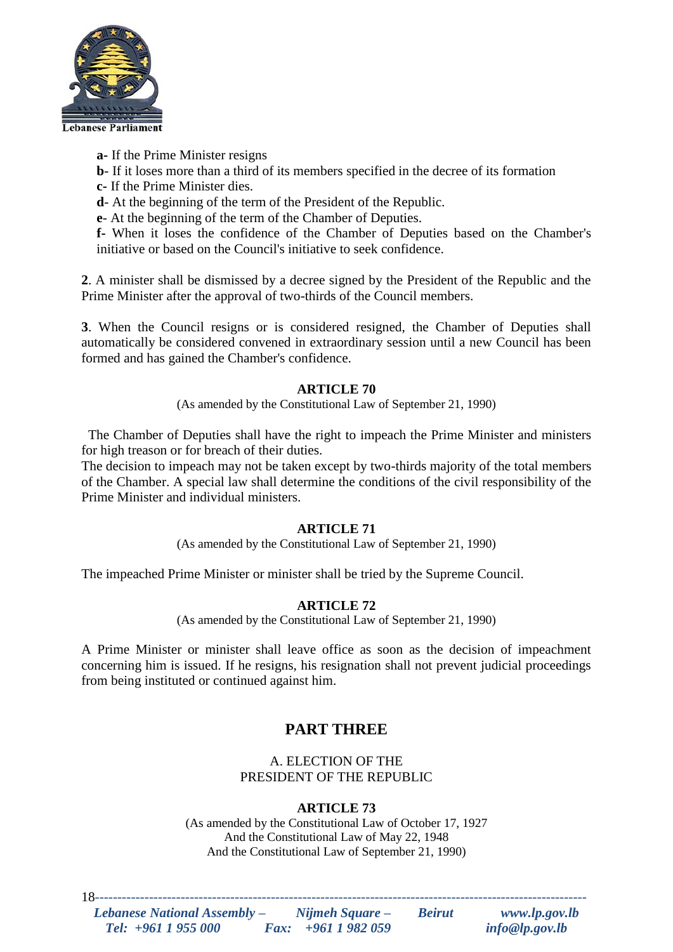

**a-** If the Prime Minister resigns

**b**- If it loses more than a third of its members specified in the decree of its formation

**c-** If the Prime Minister dies.

**d**- At the beginning of the term of the President of the Republic.

**e**- At the beginning of the term of the Chamber of Deputies.

**f-** When it loses the confidence of the Chamber of Deputies based on the Chamber's initiative or based on the Council's initiative to seek confidence.

**2**. A minister shall be dismissed by a decree signed by the President of the Republic and the Prime Minister after the approval of two-thirds of the Council members.

**3**. When the Council resigns or is considered resigned, the Chamber of Deputies shall automatically be considered convened in extraordinary session until a new Council has been formed and has gained the Chamber's confidence.

# **ARTICLE 70**

(As amended by the Constitutional Law of September 21, 1990)

 The Chamber of Deputies shall have the right to impeach the Prime Minister and ministers for high treason or for breach of their duties.

The decision to impeach may not be taken except by two-thirds majority of the total members of the Chamber. A special law shall determine the conditions of the civil responsibility of the Prime Minister and individual ministers.

# **ARTICLE 71**

(As amended by the Constitutional Law of September 21, 1990)

The impeached Prime Minister or minister shall be tried by the Supreme Council.

# **ARTICLE 72**

(As amended by the Constitutional Law of September 21, 1990)

A Prime Minister or minister shall leave office as soon as the decision of impeachment concerning him is issued. If he resigns, his resignation shall not prevent judicial proceedings from being instituted or continued against him.

# **PART THREE**

A. ELECTION OF THE PRESIDENT OF THE REPUBLIC

# **ARTICLE 73**

(As amended by the Constitutional Law of October 17, 1927 And the Constitutional Law of May 22, 1948 And the Constitutional Law of September 21, 1990)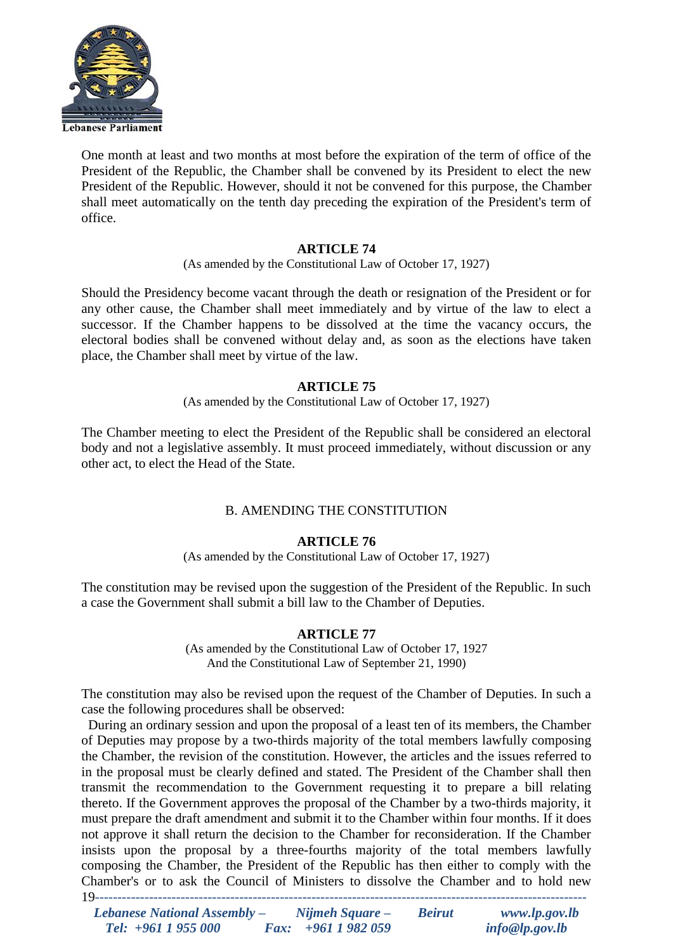

One month at least and two months at most before the expiration of the term of office of the President of the Republic, the Chamber shall be convened by its President to elect the new President of the Republic. However, should it not be convened for this purpose, the Chamber shall meet automatically on the tenth day preceding the expiration of the President's term of office.

# **ARTICLE 74**

(As amended by the Constitutional Law of October 17, 1927)

Should the Presidency become vacant through the death or resignation of the President or for any other cause, the Chamber shall meet immediately and by virtue of the law to elect a successor. If the Chamber happens to be dissolved at the time the vacancy occurs, the electoral bodies shall be convened without delay and, as soon as the elections have taken place, the Chamber shall meet by virtue of the law.

## **ARTICLE 75**

(As amended by the Constitutional Law of October 17, 1927)

The Chamber meeting to elect the President of the Republic shall be considered an electoral body and not a legislative assembly. It must proceed immediately, without discussion or any other act, to elect the Head of the State.

# B. AMENDING THE CONSTITUTION

## **ARTICLE 76**

(As amended by the Constitutional Law of October 17, 1927)

The constitution may be revised upon the suggestion of the President of the Republic. In such a case the Government shall submit a bill law to the Chamber of Deputies.

## **ARTICLE 77**

(As amended by the Constitutional Law of October 17, 1927 And the Constitutional Law of September 21, 1990)

The constitution may also be revised upon the request of the Chamber of Deputies. In such a case the following procedures shall be observed:

19*-------------------------------------------------------------------------------------------------------------* During an ordinary session and upon the proposal of a least ten of its members, the Chamber of Deputies may propose by a two-thirds majority of the total members lawfully composing the Chamber, the revision of the constitution. However, the articles and the issues referred to in the proposal must be clearly defined and stated. The President of the Chamber shall then transmit the recommendation to the Government requesting it to prepare a bill relating thereto. If the Government approves the proposal of the Chamber by a two-thirds majority, it must prepare the draft amendment and submit it to the Chamber within four months. If it does not approve it shall return the decision to the Chamber for reconsideration. If the Chamber insists upon the proposal by a three-fourths majority of the total members lawfully composing the Chamber, the President of the Republic has then either to comply with the Chamber's or to ask the Council of Ministers to dissolve the Chamber and to hold new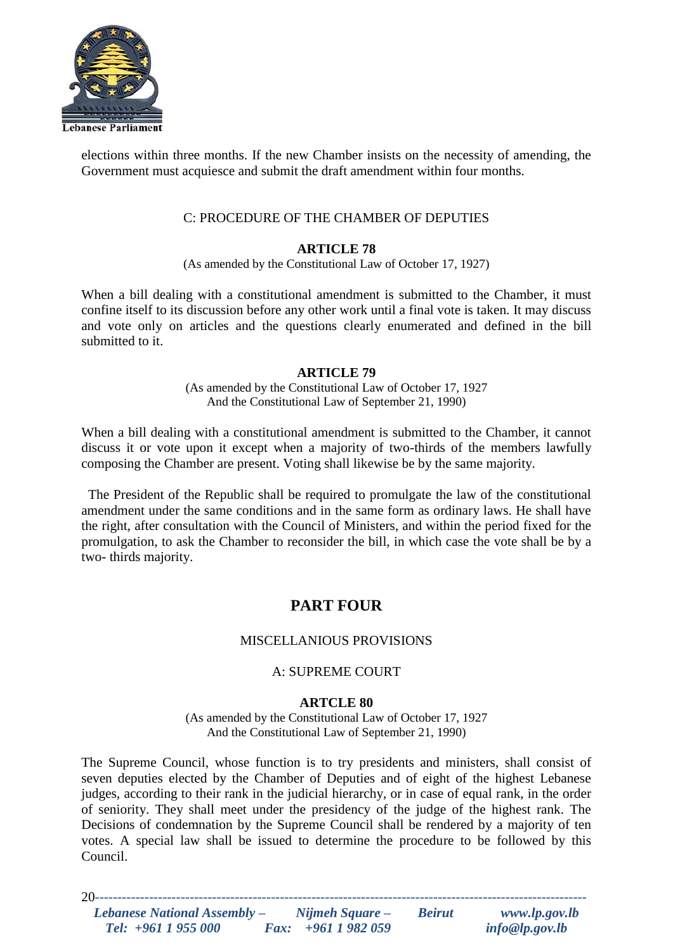

elections within three months. If the new Chamber insists on the necessity of amending, the Government must acquiesce and submit the draft amendment within four months.

## C: PROCEDURE OF THE CHAMBER OF DEPUTIES

# **ARTICLE 78**

(As amended by the Constitutional Law of October 17, 1927)

When a bill dealing with a constitutional amendment is submitted to the Chamber, it must confine itself to its discussion before any other work until a final vote is taken. It may discuss and vote only on articles and the questions clearly enumerated and defined in the bill submitted to it.

## **ARTICLE 79**

(As amended by the Constitutional Law of October 17, 1927 And the Constitutional Law of September 21, 1990)

When a bill dealing with a constitutional amendment is submitted to the Chamber, it cannot discuss it or vote upon it except when a majority of two-thirds of the members lawfully composing the Chamber are present. Voting shall likewise be by the same majority.

 The President of the Republic shall be required to promulgate the law of the constitutional amendment under the same conditions and in the same form as ordinary laws. He shall have the right, after consultation with the Council of Ministers, and within the period fixed for the promulgation, to ask the Chamber to reconsider the bill, in which case the vote shall be by a two- thirds majority.

# **PART FOUR**

# MISCELLANIOUS PROVISIONS

# A: SUPREME COURT

## **ARTCLE 80**

(As amended by the Constitutional Law of October 17, 1927 And the Constitutional Law of September 21, 1990)

The Supreme Council, whose function is to try presidents and ministers, shall consist of seven deputies elected by the Chamber of Deputies and of eight of the highest Lebanese judges, according to their rank in the judicial hierarchy, or in case of equal rank, in the order of seniority. They shall meet under the presidency of the judge of the highest rank. The Decisions of condemnation by the Supreme Council shall be rendered by a majority of ten votes. A special law shall be issued to determine the procedure to be followed by this Council.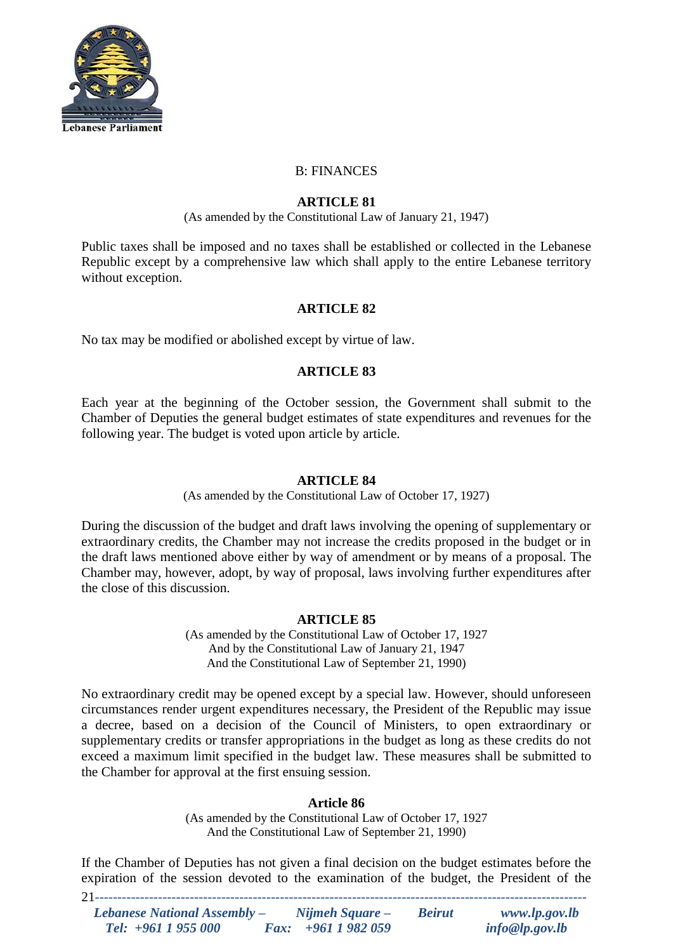

## B: FINANCES

## **ARTICLE 81**

(As amended by the Constitutional Law of January 21, 1947)

Public taxes shall be imposed and no taxes shall be established or collected in the Lebanese Republic except by a comprehensive law which shall apply to the entire Lebanese territory without exception.

## **ARTICLE 82**

No tax may be modified or abolished except by virtue of law.

## **ARTICLE 83**

Each year at the beginning of the October session, the Government shall submit to the Chamber of Deputies the general budget estimates of state expenditures and revenues for the following year. The budget is voted upon article by article.

## **ARTICLE 84**

(As amended by the Constitutional Law of October 17, 1927)

During the discussion of the budget and draft laws involving the opening of supplementary or extraordinary credits, the Chamber may not increase the credits proposed in the budget or in the draft laws mentioned above either by way of amendment or by means of a proposal. The Chamber may, however, adopt, by way of proposal, laws involving further expenditures after the close of this discussion.

## **ARTICLE 85**

(As amended by the Constitutional Law of October 17, 1927 And by the Constitutional Law of January 21, 1947 And the Constitutional Law of September 21, 1990)

No extraordinary credit may be opened except by a special law. However, should unforeseen circumstances render urgent expenditures necessary, the President of the Republic may issue a decree, based on a decision of the Council of Ministers, to open extraordinary or supplementary credits or transfer appropriations in the budget as long as these credits do not exceed a maximum limit specified in the budget law. These measures shall be submitted to the Chamber for approval at the first ensuing session.

## **Article 86**

(As amended by the Constitutional Law of October 17, 1927 And the Constitutional Law of September 21, 1990)

21*-------------------------------------------------------------------------------------------------------------* If the Chamber of Deputies has not given a final decision on the budget estimates before the expiration of the session devoted to the examination of the budget, the President of the

| Lebanese National Assembly – | Nijmeh Square –    | <b>Beirut</b> | www.lp.gov.lb  |
|------------------------------|--------------------|---------------|----------------|
| Tel: $+961$ 1 955 000        | Fax: $+9611982059$ |               | info@lp.gov.lb |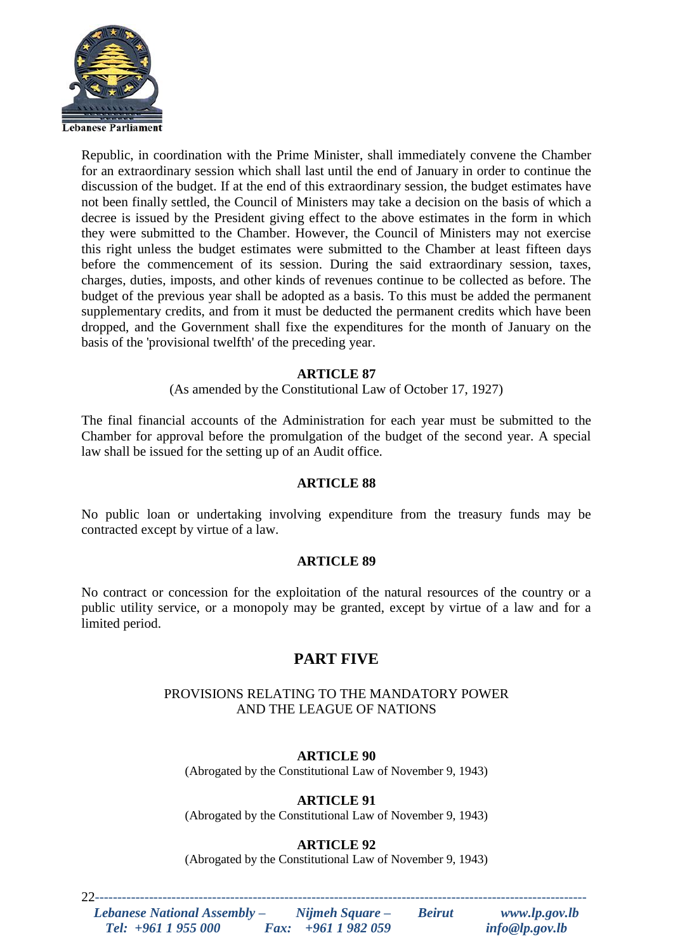

Republic, in coordination with the Prime Minister, shall immediately convene the Chamber for an extraordinary session which shall last until the end of January in order to continue the discussion of the budget. If at the end of this extraordinary session, the budget estimates have not been finally settled, the Council of Ministers may take a decision on the basis of which a decree is issued by the President giving effect to the above estimates in the form in which they were submitted to the Chamber. However, the Council of Ministers may not exercise this right unless the budget estimates were submitted to the Chamber at least fifteen days before the commencement of its session. During the said extraordinary session, taxes, charges, duties, imposts, and other kinds of revenues continue to be collected as before. The budget of the previous year shall be adopted as a basis. To this must be added the permanent supplementary credits, and from it must be deducted the permanent credits which have been dropped, and the Government shall fixe the expenditures for the month of January on the basis of the 'provisional twelfth' of the preceding year.

# **ARTICLE 87**

(As amended by the Constitutional Law of October 17, 1927)

The final financial accounts of the Administration for each year must be submitted to the Chamber for approval before the promulgation of the budget of the second year. A special law shall be issued for the setting up of an Audit office.

#### **ARTICLE 88**

No public loan or undertaking involving expenditure from the treasury funds may be contracted except by virtue of a law.

#### **ARTICLE 89**

No contract or concession for the exploitation of the natural resources of the country or a public utility service, or a monopoly may be granted, except by virtue of a law and for a limited period.

# **PART FIVE**

## PROVISIONS RELATING TO THE MANDATORY POWER AND THE LEAGUE OF NATIONS

## **ARTICLE 90**

(Abrogated by the Constitutional Law of November 9, 1943)

## **ARTICLE 91**

(Abrogated by the Constitutional Law of November 9, 1943)

## **ARTICLE 92**

(Abrogated by the Constitutional Law of November 9, 1943)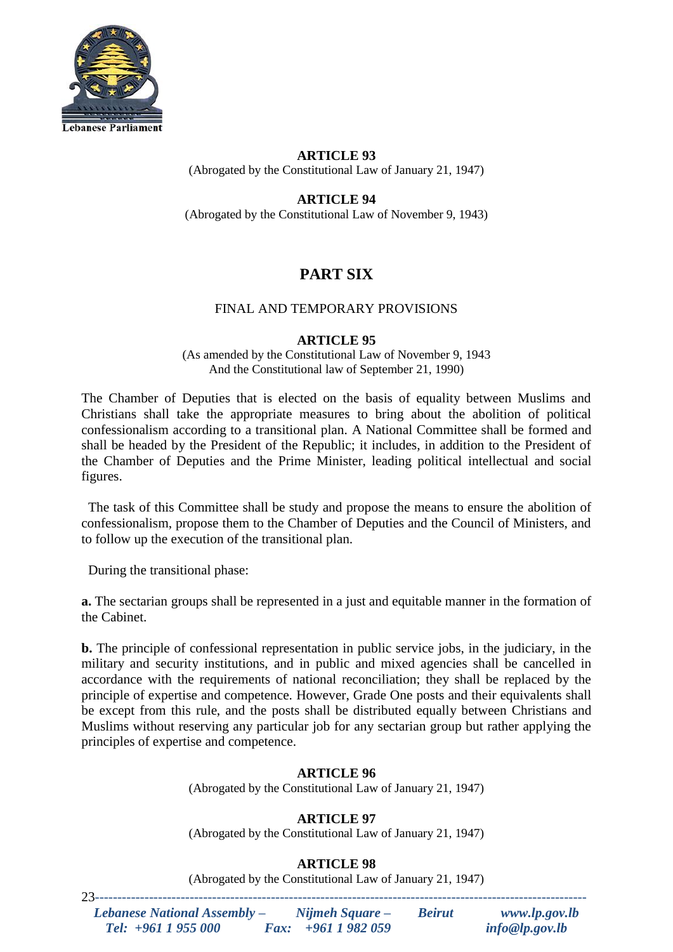

# **ARTICLE 93** (Abrogated by the Constitutional Law of January 21, 1947)

# **ARTICLE 94**

(Abrogated by the Constitutional Law of November 9, 1943)

# **PART SIX**

## FINAL AND TEMPORARY PROVISIONS

## **ARTICLE 95**

(As amended by the Constitutional Law of November 9, 1943 And the Constitutional law of September 21, 1990)

The Chamber of Deputies that is elected on the basis of equality between Muslims and Christians shall take the appropriate measures to bring about the abolition of political confessionalism according to a transitional plan. A National Committee shall be formed and shall be headed by the President of the Republic; it includes, in addition to the President of the Chamber of Deputies and the Prime Minister, leading political intellectual and social figures.

 The task of this Committee shall be study and propose the means to ensure the abolition of confessionalism, propose them to the Chamber of Deputies and the Council of Ministers, and to follow up the execution of the transitional plan.

During the transitional phase:

**a.** The sectarian groups shall be represented in a just and equitable manner in the formation of the Cabinet.

**b.** The principle of confessional representation in public service jobs, in the judiciary, in the military and security institutions, and in public and mixed agencies shall be cancelled in accordance with the requirements of national reconciliation; they shall be replaced by the principle of expertise and competence. However, Grade One posts and their equivalents shall be except from this rule, and the posts shall be distributed equally between Christians and Muslims without reserving any particular job for any sectarian group but rather applying the principles of expertise and competence.

# **ARTICLE 96**

(Abrogated by the Constitutional Law of January 21, 1947)

# **ARTICLE 97**

(Abrogated by the Constitutional Law of January 21, 1947)

# **ARTICLE 98**

(Abrogated by the Constitutional Law of January 21, 1947)